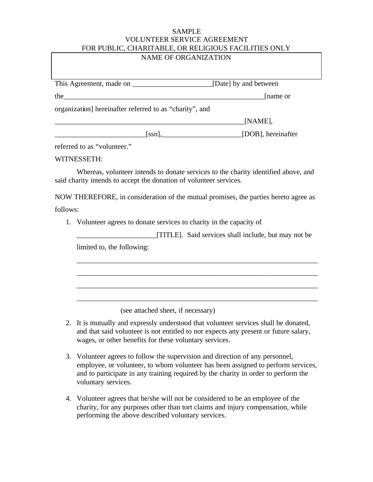## SAMPLE VOLUNTEER SERVICE AGREEMENT FOR PUBLIC, CHARITABLE, OR RELIGIOUS FACILITIES ONLY

## NAME OF ORGANIZATION

|                                                         | [Date] by and between |  |
|---------------------------------------------------------|-----------------------|--|
| the                                                     | name or               |  |
| organization] hereinafter referred to as "charity", and |                       |  |
|                                                         | [NAME],               |  |
| ssn.                                                    | [DOB], hereinafter    |  |

referred to as "volunteer."

## WITNESSETH:

Whereas, volunteer intends to donate services to the charity identified above, and said charity intends to accept the donation of volunteer services.

NOW THEREFORE, in consideration of the mutual promises, the parties hereto agree as follows:

1. Volunteer agrees to donate services to charity in the capacity of

|                            | [TITLE]. Said services shall include, but may not be |  |
|----------------------------|------------------------------------------------------|--|
| limited to, the following: |                                                      |  |

\_\_\_\_\_\_\_\_\_\_\_\_\_\_\_\_\_\_\_\_\_\_\_\_\_\_\_\_\_\_\_\_\_\_\_\_\_\_\_\_\_\_\_\_\_\_\_\_\_\_\_\_\_\_\_\_\_\_\_\_\_\_\_\_\_\_

\_\_\_\_\_\_\_\_\_\_\_\_\_\_\_\_\_\_\_\_\_\_\_\_\_\_\_\_\_\_\_\_\_\_\_\_\_\_\_\_\_\_\_\_\_\_\_\_\_\_\_\_\_\_\_\_\_\_\_\_\_\_\_\_\_\_

\_\_\_\_\_\_\_\_\_\_\_\_\_\_\_\_\_\_\_\_\_\_\_\_\_\_\_\_\_\_\_\_\_\_\_\_\_\_\_\_\_\_\_\_\_\_\_\_\_\_\_\_\_\_\_\_\_\_\_\_\_\_\_\_\_\_

\_\_\_\_\_\_\_\_\_\_\_\_\_\_\_\_\_\_\_\_\_\_\_\_\_\_\_\_\_\_\_\_\_\_\_\_\_\_\_\_\_\_\_\_\_\_\_\_\_\_\_\_\_\_\_\_\_\_\_\_\_\_\_\_\_\_

(see attached sheet, if necessary)

- 2. It is mutually and expressly understood that volunteer services shall be donated, and that said volunteer is not entitled to nor expects any present or future salary, wages, or other benefits for these voluntary services.
- 3. Volunteer agrees to follow the supervision and direction of any personnel, employee, or volunteer, to whom volunteer has been assigned to perform services, and to participate in any training required by the charity in order to perform the voluntary services.
- 4. Volunteer agrees that he/she will not be considered to be an employee of the charity, for any purposes other than tort claims and injury compensation, while performing the above described voluntary services.